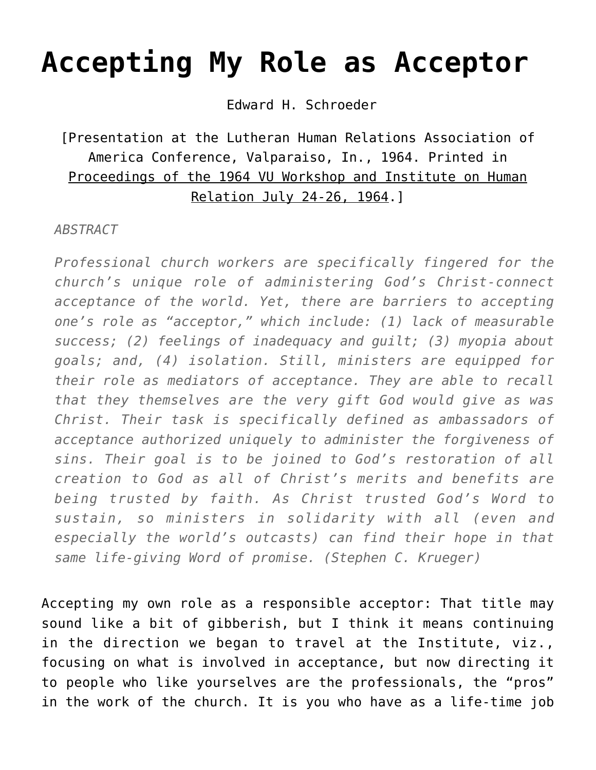# **[Accepting My Role as Acceptor](https://crossings.org/accepting-my-role-as-acceptor/)**

Edward H. Schroeder

#### [Presentation at the Lutheran Human Relations Association of America Conference, Valparaiso, In., 1964. Printed in Proceedings of the 1964 VU Workshop and Institute on Human Relation July 24-26, 1964.]

#### *ABSTRACT*

*Professional church workers are specifically fingered for the church's unique role of administering God's Christ-connect acceptance of the world. Yet, there are barriers to accepting one's role as "acceptor," which include: (1) lack of measurable success; (2) feelings of inadequacy and guilt; (3) myopia about goals; and, (4) isolation. Still, ministers are equipped for their role as mediators of acceptance. They are able to recall that they themselves are the very gift God would give as was Christ. Their task is specifically defined as ambassadors of acceptance authorized uniquely to administer the forgiveness of sins. Their goal is to be joined to God's restoration of all creation to God as all of Christ's merits and benefits are being trusted by faith. As Christ trusted God's Word to sustain, so ministers in solidarity with all (even and especially the world's outcasts) can find their hope in that same life-giving Word of promise. (Stephen C. Krueger)*

Accepting my own role as a responsible acceptor: That title may sound like a bit of gibberish, but I think it means continuing in the direction we began to travel at the Institute, viz., focusing on what is involved in acceptance, but now directing it to people who like yourselves are the professionals, the "pros" in the work of the church. It is you who have as a life-time job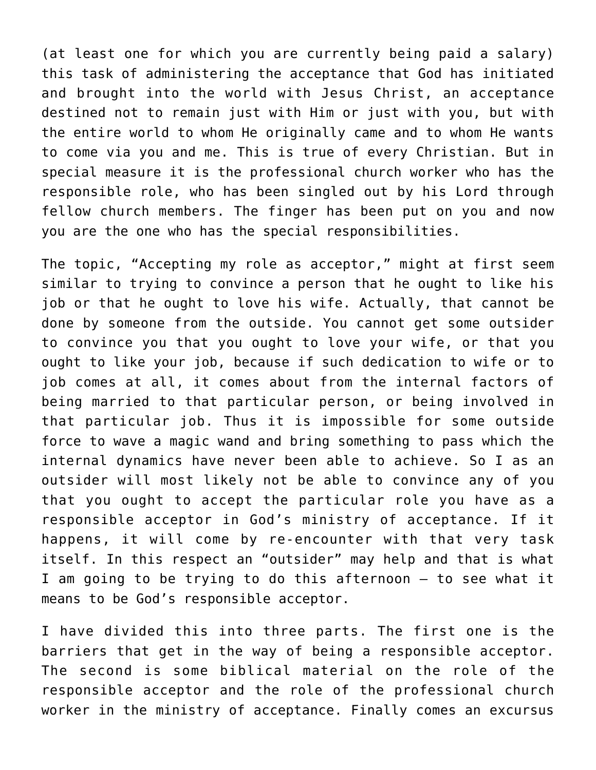(at least one for which you are currently being paid a salary) this task of administering the acceptance that God has initiated and brought into the world with Jesus Christ, an acceptance destined not to remain just with Him or just with you, but with the entire world to whom He originally came and to whom He wants to come via you and me. This is true of every Christian. But in special measure it is the professional church worker who has the responsible role, who has been singled out by his Lord through fellow church members. The finger has been put on you and now you are the one who has the special responsibilities.

The topic, "Accepting my role as acceptor," might at first seem similar to trying to convince a person that he ought to like his job or that he ought to love his wife. Actually, that cannot be done by someone from the outside. You cannot get some outsider to convince you that you ought to love your wife, or that you ought to like your job, because if such dedication to wife or to job comes at all, it comes about from the internal factors of being married to that particular person, or being involved in that particular job. Thus it is impossible for some outside force to wave a magic wand and bring something to pass which the internal dynamics have never been able to achieve. So I as an outsider will most likely not be able to convince any of you that you ought to accept the particular role you have as a responsible acceptor in God's ministry of acceptance. If it happens, it will come by re-encounter with that very task itself. In this respect an "outsider" may help and that is what I am going to be trying to do this afternoon – to see what it means to be God's responsible acceptor.

I have divided this into three parts. The first one is the barriers that get in the way of being a responsible acceptor. The second is some biblical material on the role of the responsible acceptor and the role of the professional church worker in the ministry of acceptance. Finally comes an excursus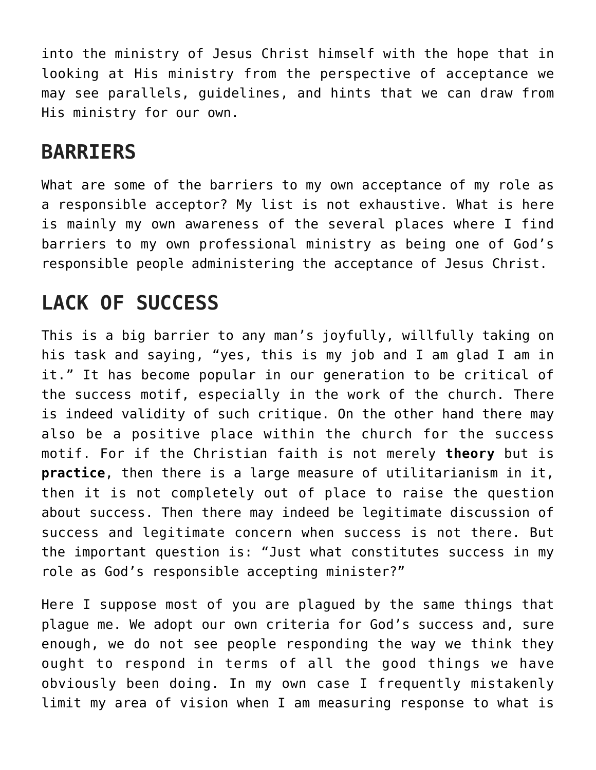into the ministry of Jesus Christ himself with the hope that in looking at His ministry from the perspective of acceptance we may see parallels, guidelines, and hints that we can draw from His ministry for our own.

#### **BARRIERS**

What are some of the barriers to my own acceptance of my role as a responsible acceptor? My list is not exhaustive. What is here is mainly my own awareness of the several places where I find barriers to my own professional ministry as being one of God's responsible people administering the acceptance of Jesus Christ.

## **LACK OF SUCCESS**

This is a big barrier to any man's joyfully, willfully taking on his task and saying, "yes, this is my job and I am glad I am in it." It has become popular in our generation to be critical of the success motif, especially in the work of the church. There is indeed validity of such critique. On the other hand there may also be a positive place within the church for the success motif. For if the Christian faith is not merely **theory** but is **practice**, then there is a large measure of utilitarianism in it, then it is not completely out of place to raise the question about success. Then there may indeed be legitimate discussion of success and legitimate concern when success is not there. But the important question is: "Just what constitutes success in my role as God's responsible accepting minister?"

Here I suppose most of you are plagued by the same things that plague me. We adopt our own criteria for God's success and, sure enough, we do not see people responding the way we think they ought to respond in terms of all the good things we have obviously been doing. In my own case I frequently mistakenly limit my area of vision when I am measuring response to what is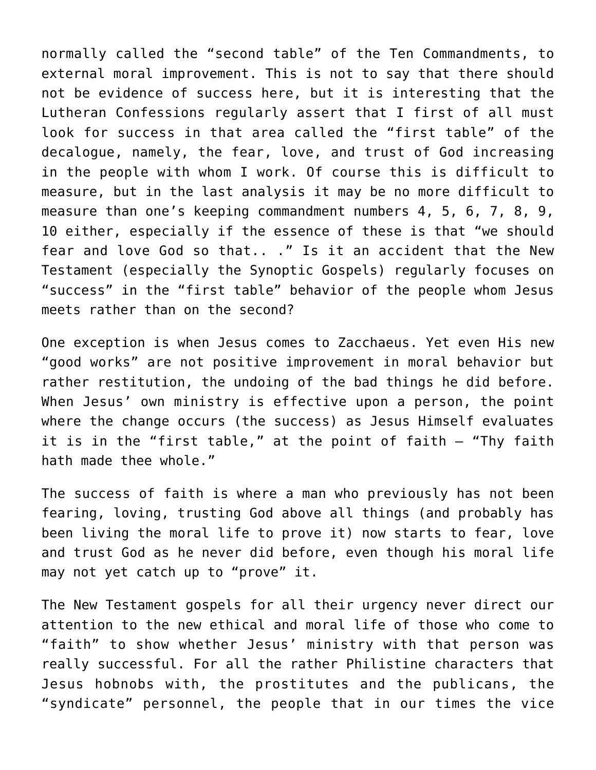normally called the "second table" of the Ten Commandments, to external moral improvement. This is not to say that there should not be evidence of success here, but it is interesting that the Lutheran Confessions regularly assert that I first of all must look for success in that area called the "first table" of the decalogue, namely, the fear, love, and trust of God increasing in the people with whom I work. Of course this is difficult to measure, but in the last analysis it may be no more difficult to measure than one's keeping commandment numbers 4, 5, 6, 7, 8, 9, 10 either, especially if the essence of these is that "we should fear and love God so that.. ." Is it an accident that the New Testament (especially the Synoptic Gospels) regularly focuses on "success" in the "first table" behavior of the people whom Jesus meets rather than on the second?

One exception is when Jesus comes to Zacchaeus. Yet even His new "good works" are not positive improvement in moral behavior but rather restitution, the undoing of the bad things he did before. When Jesus' own ministry is effective upon a person, the point where the change occurs (the success) as Jesus Himself evaluates it is in the "first table," at the point of faith — "Thy faith hath made thee whole."

The success of faith is where a man who previously has not been fearing, loving, trusting God above all things (and probably has been living the moral life to prove it) now starts to fear, love and trust God as he never did before, even though his moral life may not yet catch up to "prove" it.

The New Testament gospels for all their urgency never direct our attention to the new ethical and moral life of those who come to "faith" to show whether Jesus' ministry with that person was really successful. For all the rather Philistine characters that Jesus hobnobs with, the prostitutes and the publicans, the "syndicate" personnel, the people that in our times the vice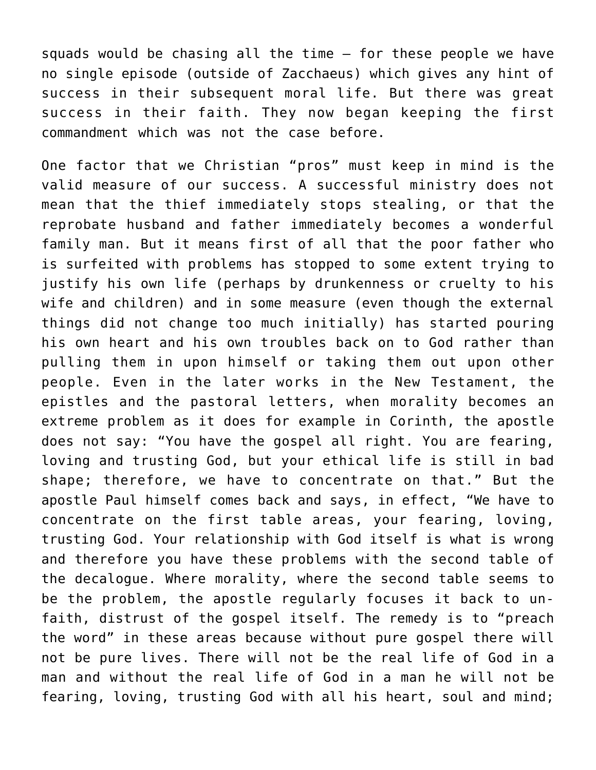squads would be chasing all the time — for these people we have no single episode (outside of Zacchaeus) which gives any hint of success in their subsequent moral life. But there was great success in their faith. They now began keeping the first commandment which was not the case before.

One factor that we Christian "pros" must keep in mind is the valid measure of our success. A successful ministry does not mean that the thief immediately stops stealing, or that the reprobate husband and father immediately becomes a wonderful family man. But it means first of all that the poor father who is surfeited with problems has stopped to some extent trying to justify his own life (perhaps by drunkenness or cruelty to his wife and children) and in some measure (even though the external things did not change too much initially) has started pouring his own heart and his own troubles back on to God rather than pulling them in upon himself or taking them out upon other people. Even in the later works in the New Testament, the epistles and the pastoral letters, when morality becomes an extreme problem as it does for example in Corinth, the apostle does not say: "You have the gospel all right. You are fearing, loving and trusting God, but your ethical life is still in bad shape; therefore, we have to concentrate on that." But the apostle Paul himself comes back and says, in effect, "We have to concentrate on the first table areas, your fearing, loving, trusting God. Your relationship with God itself is what is wrong and therefore you have these problems with the second table of the decalogue. Where morality, where the second table seems to be the problem, the apostle regularly focuses it back to unfaith, distrust of the gospel itself. The remedy is to "preach the word" in these areas because without pure gospel there will not be pure lives. There will not be the real life of God in a man and without the real life of God in a man he will not be fearing, loving, trusting God with all his heart, soul and mind;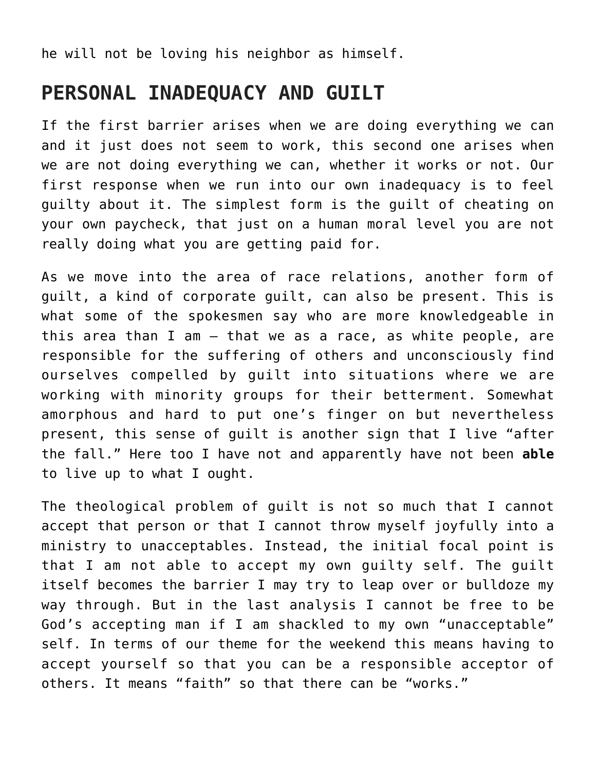he will not be loving his neighbor as himself.

#### **PERSONAL INADEQUACY AND GUILT**

If the first barrier arises when we are doing everything we can and it just does not seem to work, this second one arises when we are not doing everything we can, whether it works or not. Our first response when we run into our own inadequacy is to feel guilty about it. The simplest form is the guilt of cheating on your own paycheck, that just on a human moral level you are not really doing what you are getting paid for.

As we move into the area of race relations, another form of guilt, a kind of corporate guilt, can also be present. This is what some of the spokesmen say who are more knowledgeable in this area than I am – that we as a race, as white people, are responsible for the suffering of others and unconsciously find ourselves compelled by guilt into situations where we are working with minority groups for their betterment. Somewhat amorphous and hard to put one's finger on but nevertheless present, this sense of guilt is another sign that I live "after the fall." Here too I have not and apparently have not been **able** to live up to what I ought.

The theological problem of guilt is not so much that I cannot accept that person or that I cannot throw myself joyfully into a ministry to unacceptables. Instead, the initial focal point is that I am not able to accept my own guilty self. The guilt itself becomes the barrier I may try to leap over or bulldoze my way through. But in the last analysis I cannot be free to be God's accepting man if I am shackled to my own "unacceptable" self. In terms of our theme for the weekend this means having to accept yourself so that you can be a responsible acceptor of others. It means "faith" so that there can be "works."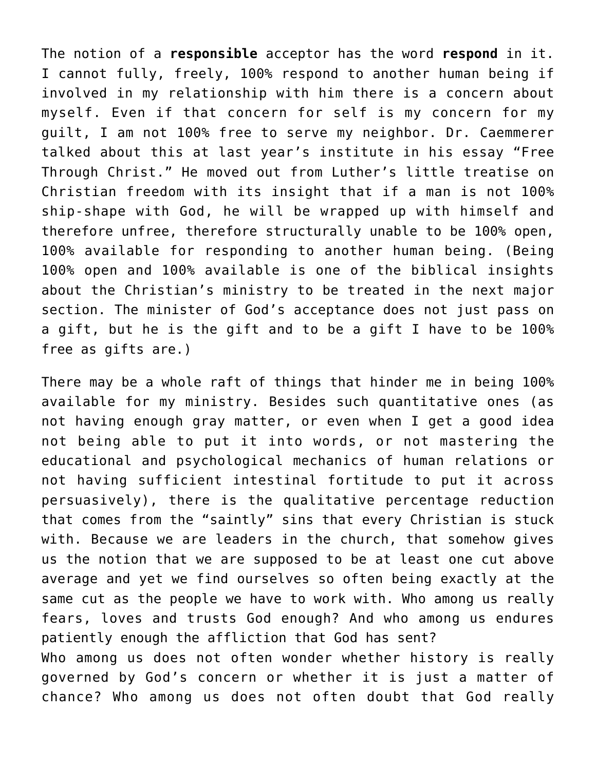The notion of a **responsible** acceptor has the word **respond** in it. I cannot fully, freely, 100% respond to another human being if involved in my relationship with him there is a concern about myself. Even if that concern for self is my concern for my guilt, I am not 100% free to serve my neighbor. Dr. Caemmerer talked about this at last year's institute in his essay "Free Through Christ." He moved out from Luther's little treatise on Christian freedom with its insight that if a man is not 100% ship-shape with God, he will be wrapped up with himself and therefore unfree, therefore structurally unable to be 100% open, 100% available for responding to another human being. (Being 100% open and 100% available is one of the biblical insights about the Christian's ministry to be treated in the next major section. The minister of God's acceptance does not just pass on a gift, but he is the gift and to be a gift I have to be 100% free as gifts are.)

There may be a whole raft of things that hinder me in being 100% available for my ministry. Besides such quantitative ones (as not having enough gray matter, or even when I get a good idea not being able to put it into words, or not mastering the educational and psychological mechanics of human relations or not having sufficient intestinal fortitude to put it across persuasively), there is the qualitative percentage reduction that comes from the "saintly" sins that every Christian is stuck with. Because we are leaders in the church, that somehow gives us the notion that we are supposed to be at least one cut above average and yet we find ourselves so often being exactly at the same cut as the people we have to work with. Who among us really fears, loves and trusts God enough? And who among us endures patiently enough the affliction that God has sent? Who among us does not often wonder whether history is really

governed by God's concern or whether it is just a matter of chance? Who among us does not often doubt that God really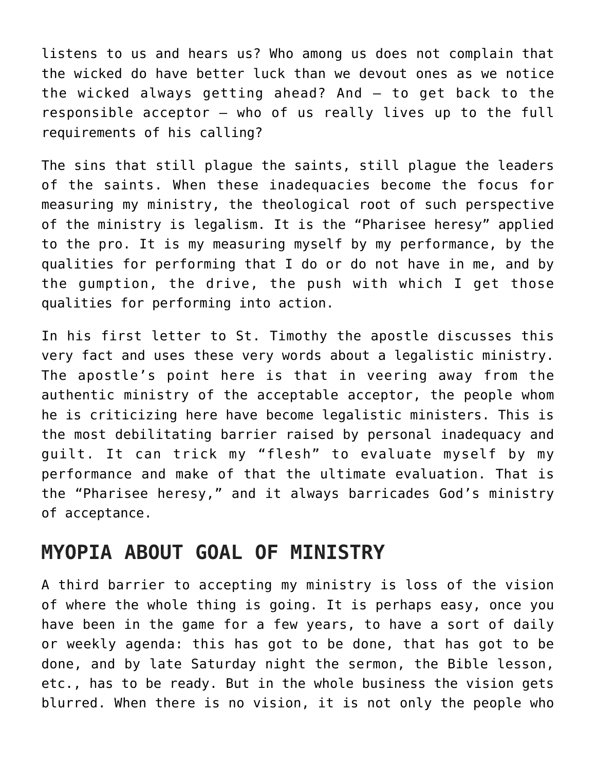listens to us and hears us? Who among us does not complain that the wicked do have better luck than we devout ones as we notice the wicked always getting ahead? And – to get back to the responsible acceptor – who of us really lives up to the full requirements of his calling?

The sins that still plague the saints, still plague the leaders of the saints. When these inadequacies become the focus for measuring my ministry, the theological root of such perspective of the ministry is legalism. It is the "Pharisee heresy" applied to the pro. It is my measuring myself by my performance, by the qualities for performing that I do or do not have in me, and by the gumption, the drive, the push with which I get those qualities for performing into action.

In his first letter to St. Timothy the apostle discusses this very fact and uses these very words about a legalistic ministry. The apostle's point here is that in veering away from the authentic ministry of the acceptable acceptor, the people whom he is criticizing here have become legalistic ministers. This is the most debilitating barrier raised by personal inadequacy and guilt. It can trick my "flesh" to evaluate myself by my performance and make of that the ultimate evaluation. That is the "Pharisee heresy," and it always barricades God's ministry of acceptance.

#### **MYOPIA ABOUT GOAL OF MINISTRY**

A third barrier to accepting my ministry is loss of the vision of where the whole thing is going. It is perhaps easy, once you have been in the game for a few years, to have a sort of daily or weekly agenda: this has got to be done, that has got to be done, and by late Saturday night the sermon, the Bible lesson, etc., has to be ready. But in the whole business the vision gets blurred. When there is no vision, it is not only the people who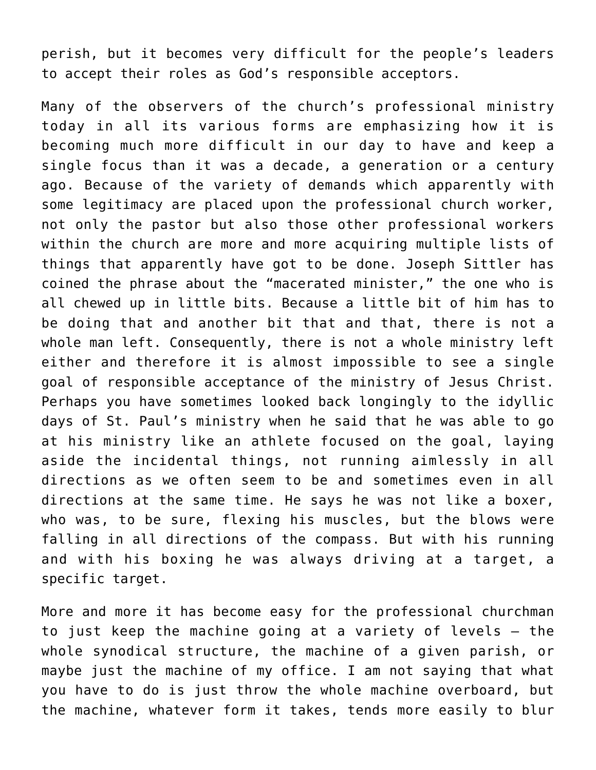perish, but it becomes very difficult for the people's leaders to accept their roles as God's responsible acceptors.

Many of the observers of the church's professional ministry today in all its various forms are emphasizing how it is becoming much more difficult in our day to have and keep a single focus than it was a decade, a generation or a century ago. Because of the variety of demands which apparently with some legitimacy are placed upon the professional church worker, not only the pastor but also those other professional workers within the church are more and more acquiring multiple lists of things that apparently have got to be done. Joseph Sittler has coined the phrase about the "macerated minister," the one who is all chewed up in little bits. Because a little bit of him has to be doing that and another bit that and that, there is not a whole man left. Consequently, there is not a whole ministry left either and therefore it is almost impossible to see a single goal of responsible acceptance of the ministry of Jesus Christ. Perhaps you have sometimes looked back longingly to the idyllic days of St. Paul's ministry when he said that he was able to go at his ministry like an athlete focused on the goal, laying aside the incidental things, not running aimlessly in all directions as we often seem to be and sometimes even in all directions at the same time. He says he was not like a boxer, who was, to be sure, flexing his muscles, but the blows were falling in all directions of the compass. But with his running and with his boxing he was always driving at a target, a specific target.

More and more it has become easy for the professional churchman to just keep the machine going at a variety of levels — the whole synodical structure, the machine of a given parish, or maybe just the machine of my office. I am not saying that what you have to do is just throw the whole machine overboard, but the machine, whatever form it takes, tends more easily to blur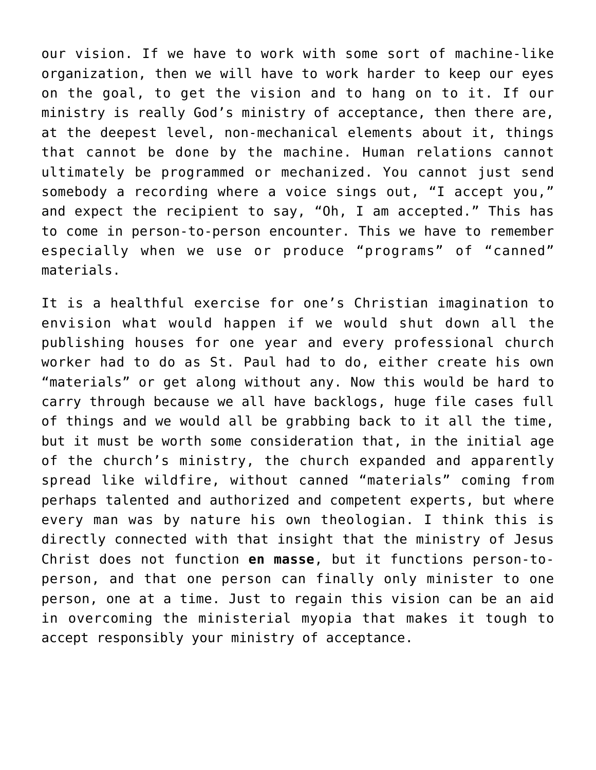our vision. If we have to work with some sort of machine-like organization, then we will have to work harder to keep our eyes on the goal, to get the vision and to hang on to it. If our ministry is really God's ministry of acceptance, then there are, at the deepest level, non-mechanical elements about it, things that cannot be done by the machine. Human relations cannot ultimately be programmed or mechanized. You cannot just send somebody a recording where a voice sings out, "I accept you," and expect the recipient to say, "Oh, I am accepted." This has to come in person-to-person encounter. This we have to remember especially when we use or produce "programs" of "canned" materials.

It is a healthful exercise for one's Christian imagination to envision what would happen if we would shut down all the publishing houses for one year and every professional church worker had to do as St. Paul had to do, either create his own "materials" or get along without any. Now this would be hard to carry through because we all have backlogs, huge file cases full of things and we would all be grabbing back to it all the time, but it must be worth some consideration that, in the initial age of the church's ministry, the church expanded and apparently spread like wildfire, without canned "materials" coming from perhaps talented and authorized and competent experts, but where every man was by nature his own theologian. I think this is directly connected with that insight that the ministry of Jesus Christ does not function **en masse**, but it functions person-toperson, and that one person can finally only minister to one person, one at a time. Just to regain this vision can be an aid in overcoming the ministerial myopia that makes it tough to accept responsibly your ministry of acceptance.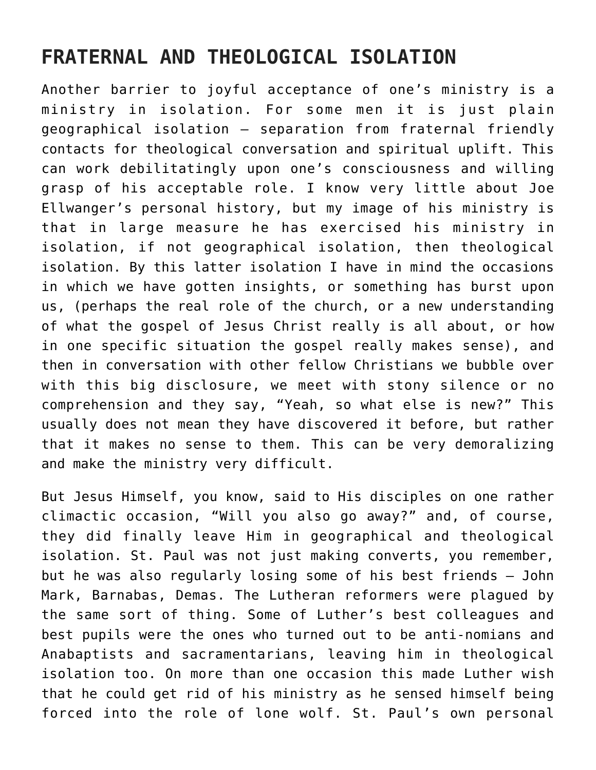## **FRATERNAL AND THEOLOGICAL ISOLATION**

Another barrier to joyful acceptance of one's ministry is a ministry in isolation. For some men it is just plain geographical isolation – separation from fraternal friendly contacts for theological conversation and spiritual uplift. This can work debilitatingly upon one's consciousness and willing grasp of his acceptable role. I know very little about Joe Ellwanger's personal history, but my image of his ministry is that in large measure he has exercised his ministry in isolation, if not geographical isolation, then theological isolation. By this latter isolation I have in mind the occasions in which we have gotten insights, or something has burst upon us, (perhaps the real role of the church, or a new understanding of what the gospel of Jesus Christ really is all about, or how in one specific situation the gospel really makes sense), and then in conversation with other fellow Christians we bubble over with this big disclosure, we meet with stony silence or no comprehension and they say, "Yeah, so what else is new?" This usually does not mean they have discovered it before, but rather that it makes no sense to them. This can be very demoralizing and make the ministry very difficult.

But Jesus Himself, you know, said to His disciples on one rather climactic occasion, "Will you also go away?" and, of course, they did finally leave Him in geographical and theological isolation. St. Paul was not just making converts, you remember, but he was also regularly losing some of his best friends — John Mark, Barnabas, Demas. The Lutheran reformers were plagued by the same sort of thing. Some of Luther's best colleagues and best pupils were the ones who turned out to be anti-nomians and Anabaptists and sacramentarians, leaving him in theological isolation too. On more than one occasion this made Luther wish that he could get rid of his ministry as he sensed himself being forced into the role of lone wolf. St. Paul's own personal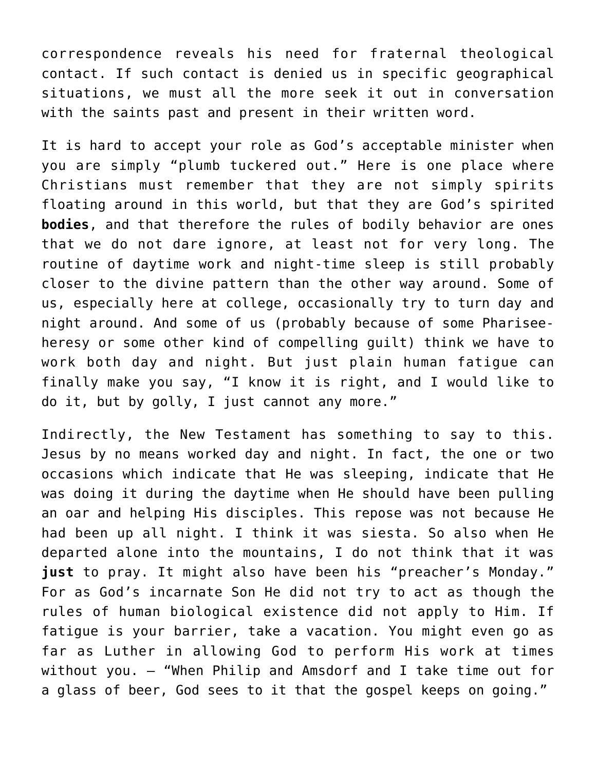correspondence reveals his need for fraternal theological contact. If such contact is denied us in specific geographical situations, we must all the more seek it out in conversation with the saints past and present in their written word.

It is hard to accept your role as God's acceptable minister when you are simply "plumb tuckered out." Here is one place where Christians must remember that they are not simply spirits floating around in this world, but that they are God's spirited **bodies**, and that therefore the rules of bodily behavior are ones that we do not dare ignore, at least not for very long. The routine of daytime work and night-time sleep is still probably closer to the divine pattern than the other way around. Some of us, especially here at college, occasionally try to turn day and night around. And some of us (probably because of some Phariseeheresy or some other kind of compelling guilt) think we have to work both day and night. But just plain human fatigue can finally make you say, "I know it is right, and I would like to do it, but by golly, I just cannot any more."

Indirectly, the New Testament has something to say to this. Jesus by no means worked day and night. In fact, the one or two occasions which indicate that He was sleeping, indicate that He was doing it during the daytime when He should have been pulling an oar and helping His disciples. This repose was not because He had been up all night. I think it was siesta. So also when He departed alone into the mountains, I do not think that it was **just** to pray. It might also have been his "preacher's Monday." For as God's incarnate Son He did not try to act as though the rules of human biological existence did not apply to Him. If fatigue is your barrier, take a vacation. You might even go as far as Luther in allowing God to perform His work at times without you. — "When Philip and Amsdorf and I take time out for a glass of beer, God sees to it that the gospel keeps on going."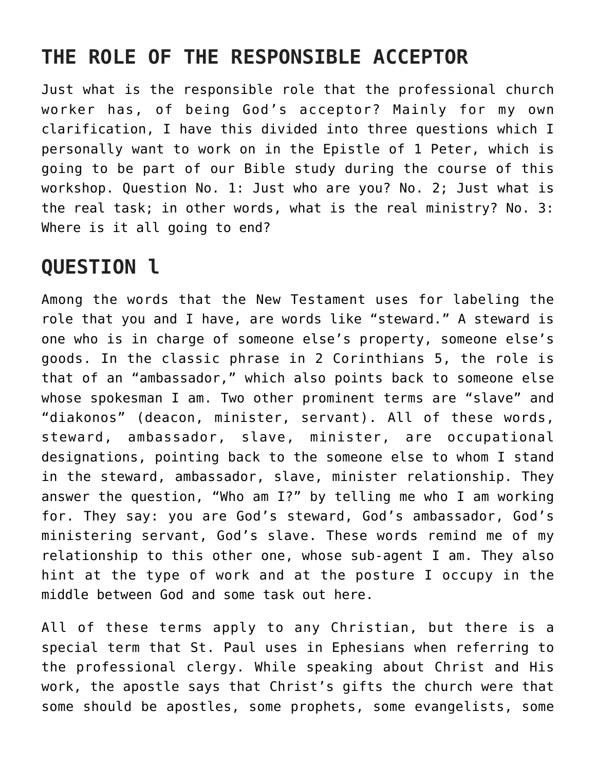# **THE ROLE OF THE RESPONSIBLE ACCEPTOR**

Just what is the responsible role that the professional church worker has, of being God's acceptor? Mainly for my own clarification, I have this divided into three questions which I personally want to work on in the Epistle of 1 Peter, which is going to be part of our Bible study during the course of this workshop. Question No. 1: Just who are you? No. 2; Just what is the real task; in other words, what is the real ministry? No. 3: Where is it all going to end?

## **QUESTION l**

Among the words that the New Testament uses for labeling the role that you and I have, are words like "steward." A steward is one who is in charge of someone else's property, someone else's goods. In the classic phrase in 2 Corinthians 5, the role is that of an "ambassador," which also points back to someone else whose spokesman I am. Two other prominent terms are "slave" and "diakonos" (deacon, minister, servant). All of these words, steward, ambassador, slave, minister, are occupational designations, pointing back to the someone else to whom I stand in the steward, ambassador, slave, minister relationship. They answer the question, "Who am I?" by telling me who I am working for. They say: you are God's steward, God's ambassador, God's ministering servant, God's slave. These words remind me of my relationship to this other one, whose sub-agent I am. They also hint at the type of work and at the posture I occupy in the middle between God and some task out here.

All of these terms apply to any Christian, but there is a special term that St. Paul uses in Ephesians when referring to the professional clergy. While speaking about Christ and His work, the apostle says that Christ's gifts the church were that some should be apostles, some prophets, some evangelists, some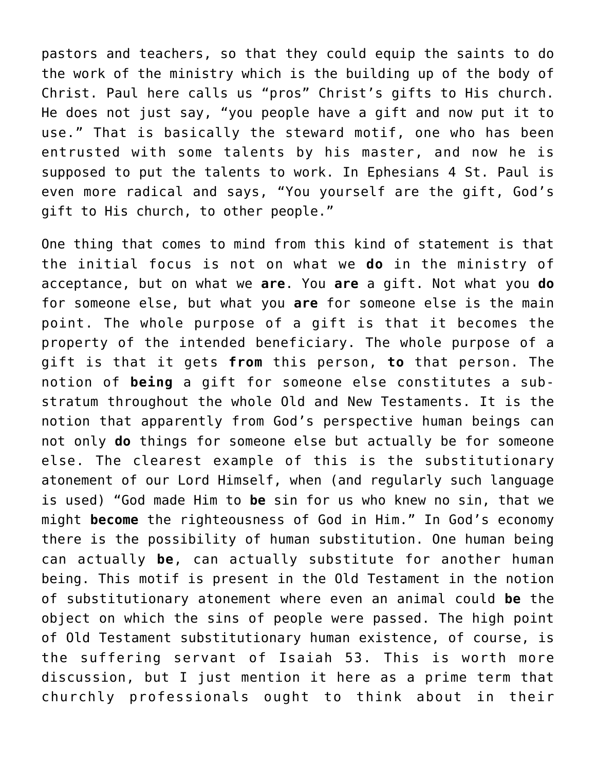pastors and teachers, so that they could equip the saints to do the work of the ministry which is the building up of the body of Christ. Paul here calls us "pros" Christ's gifts to His church. He does not just say, "you people have a gift and now put it to use." That is basically the steward motif, one who has been entrusted with some talents by his master, and now he is supposed to put the talents to work. In Ephesians 4 St. Paul is even more radical and says, "You yourself are the gift, God's gift to His church, to other people."

One thing that comes to mind from this kind of statement is that the initial focus is not on what we **do** in the ministry of acceptance, but on what we **are**. You **are** a gift. Not what you **do** for someone else, but what you **are** for someone else is the main point. The whole purpose of a gift is that it becomes the property of the intended beneficiary. The whole purpose of a gift is that it gets **from** this person, **to** that person. The notion of **being** a gift for someone else constitutes a substratum throughout the whole Old and New Testaments. It is the notion that apparently from God's perspective human beings can not only **do** things for someone else but actually be for someone else. The clearest example of this is the substitutionary atonement of our Lord Himself, when (and regularly such language is used) "God made Him to **be** sin for us who knew no sin, that we might **become** the righteousness of God in Him." In God's economy there is the possibility of human substitution. One human being can actually **be**, can actually substitute for another human being. This motif is present in the Old Testament in the notion of substitutionary atonement where even an animal could **be** the object on which the sins of people were passed. The high point of Old Testament substitutionary human existence, of course, is the suffering servant of Isaiah 53. This is worth more discussion, but I just mention it here as a prime term that churchly professionals ought to think about in their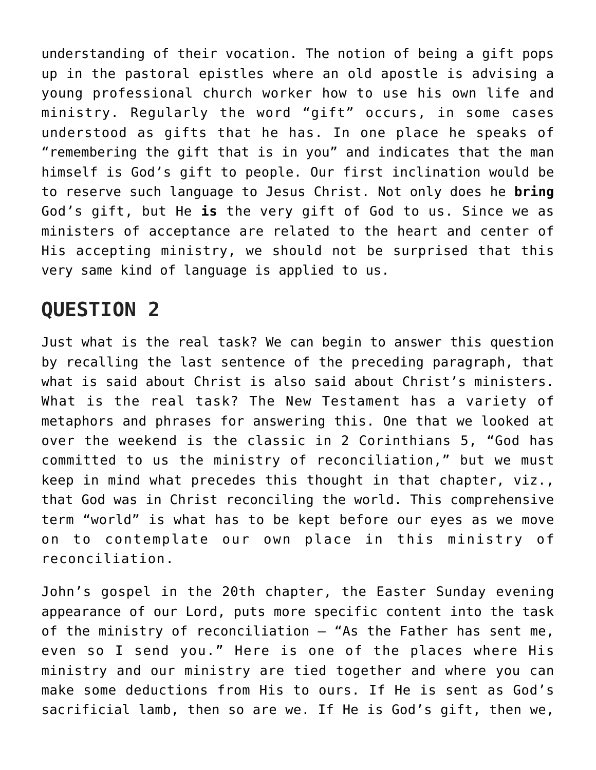understanding of their vocation. The notion of being a gift pops up in the pastoral epistles where an old apostle is advising a young professional church worker how to use his own life and ministry. Regularly the word "gift" occurs, in some cases understood as gifts that he has. In one place he speaks of "remembering the gift that is in you" and indicates that the man himself is God's gift to people. Our first inclination would be to reserve such language to Jesus Christ. Not only does he **bring** God's gift, but He **is** the very gift of God to us. Since we as ministers of acceptance are related to the heart and center of His accepting ministry, we should not be surprised that this very same kind of language is applied to us.

#### **QUESTION 2**

Just what is the real task? We can begin to answer this question by recalling the last sentence of the preceding paragraph, that what is said about Christ is also said about Christ's ministers. What is the real task? The New Testament has a variety of metaphors and phrases for answering this. One that we looked at over the weekend is the classic in 2 Corinthians 5, "God has committed to us the ministry of reconciliation," but we must keep in mind what precedes this thought in that chapter, viz., that God was in Christ reconciling the world. This comprehensive term "world" is what has to be kept before our eyes as we move on to contemplate our own place in this ministry of reconciliation.

John's gospel in the 20th chapter, the Easter Sunday evening appearance of our Lord, puts more specific content into the task of the ministry of reconciliation – "As the Father has sent me, even so I send you." Here is one of the places where His ministry and our ministry are tied together and where you can make some deductions from His to ours. If He is sent as God's sacrificial lamb, then so are we. If He is God's gift, then we,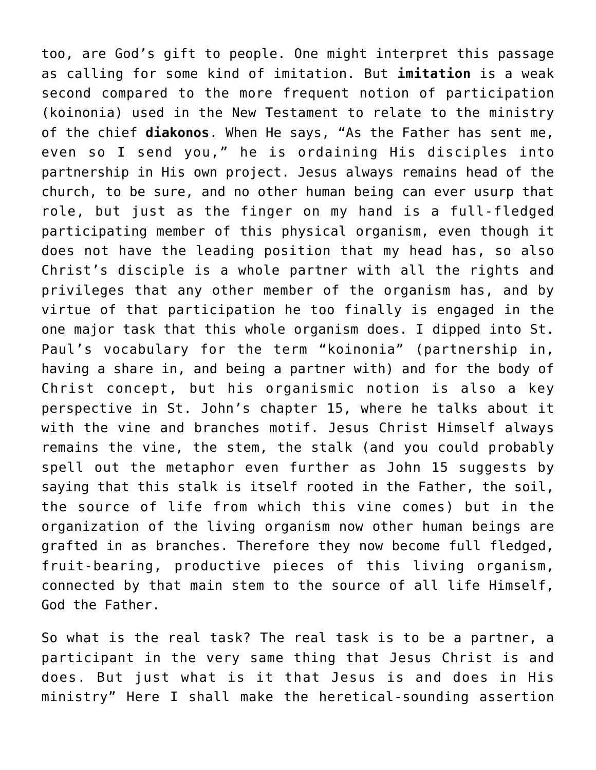too, are God's gift to people. One might interpret this passage as calling for some kind of imitation. But **imitation** is a weak second compared to the more frequent notion of participation (koinonia) used in the New Testament to relate to the ministry of the chief **diakonos**. When He says, "As the Father has sent me, even so I send you," he is ordaining His disciples into partnership in His own project. Jesus always remains head of the church, to be sure, and no other human being can ever usurp that role, but just as the finger on my hand is a full-fledged participating member of this physical organism, even though it does not have the leading position that my head has, so also Christ's disciple is a whole partner with all the rights and privileges that any other member of the organism has, and by virtue of that participation he too finally is engaged in the one major task that this whole organism does. I dipped into St. Paul's vocabulary for the term "koinonia" (partnership in, having a share in, and being a partner with) and for the body of Christ concept, but his organismic notion is also a key perspective in St. John's chapter 15, where he talks about it with the vine and branches motif. Jesus Christ Himself always remains the vine, the stem, the stalk (and you could probably spell out the metaphor even further as John 15 suggests by saying that this stalk is itself rooted in the Father, the soil, the source of life from which this vine comes) but in the organization of the living organism now other human beings are grafted in as branches. Therefore they now become full fledged, fruit-bearing, productive pieces of this living organism, connected by that main stem to the source of all life Himself, God the Father.

So what is the real task? The real task is to be a partner, a participant in the very same thing that Jesus Christ is and does. But just what is it that Jesus is and does in His ministry" Here I shall make the heretical-sounding assertion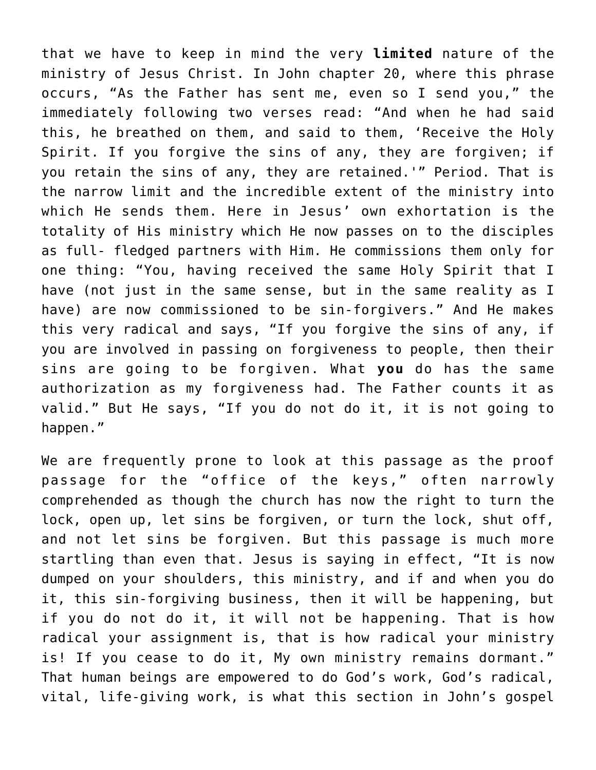that we have to keep in mind the very **limited** nature of the ministry of Jesus Christ. In John chapter 20, where this phrase occurs, "As the Father has sent me, even so I send you," the immediately following two verses read: "And when he had said this, he breathed on them, and said to them, 'Receive the Holy Spirit. If you forgive the sins of any, they are forgiven; if you retain the sins of any, they are retained.'" Period. That is the narrow limit and the incredible extent of the ministry into which He sends them. Here in Jesus' own exhortation is the totality of His ministry which He now passes on to the disciples as full- fledged partners with Him. He commissions them only for one thing: "You, having received the same Holy Spirit that I have (not just in the same sense, but in the same reality as I have) are now commissioned to be sin-forgivers." And He makes this very radical and says, "If you forgive the sins of any, if you are involved in passing on forgiveness to people, then their sins are going to be forgiven. What **you** do has the same authorization as my forgiveness had. The Father counts it as valid." But He says, "If you do not do it, it is not going to happen."

We are frequently prone to look at this passage as the proof passage for the "office of the keys," often narrowly comprehended as though the church has now the right to turn the lock, open up, let sins be forgiven, or turn the lock, shut off, and not let sins be forgiven. But this passage is much more startling than even that. Jesus is saying in effect, "It is now dumped on your shoulders, this ministry, and if and when you do it, this sin-forgiving business, then it will be happening, but if you do not do it, it will not be happening. That is how radical your assignment is, that is how radical your ministry is! If you cease to do it, My own ministry remains dormant." That human beings are empowered to do God's work, God's radical, vital, life-giving work, is what this section in John's gospel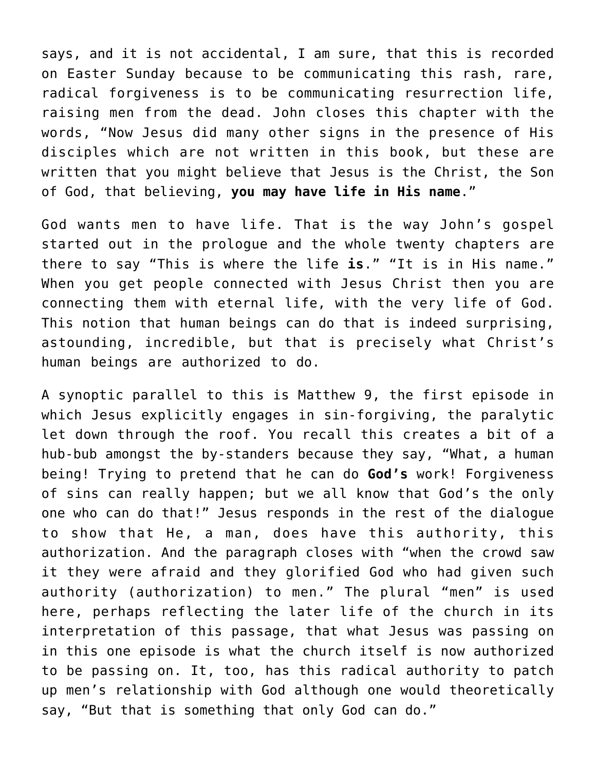says, and it is not accidental, I am sure, that this is recorded on Easter Sunday because to be communicating this rash, rare, radical forgiveness is to be communicating resurrection life, raising men from the dead. John closes this chapter with the words, "Now Jesus did many other signs in the presence of His disciples which are not written in this book, but these are written that you might believe that Jesus is the Christ, the Son of God, that believing, **you may have life in His name**."

God wants men to have life. That is the way John's gospel started out in the prologue and the whole twenty chapters are there to say "This is where the life **is**." "It is in His name." When you get people connected with Jesus Christ then you are connecting them with eternal life, with the very life of God. This notion that human beings can do that is indeed surprising, astounding, incredible, but that is precisely what Christ's human beings are authorized to do.

A synoptic parallel to this is Matthew 9, the first episode in which Jesus explicitly engages in sin-forgiving, the paralytic let down through the roof. You recall this creates a bit of a hub-bub amongst the by-standers because they say, "What, a human being! Trying to pretend that he can do **God's** work! Forgiveness of sins can really happen; but we all know that God's the only one who can do that!" Jesus responds in the rest of the dialogue to show that He, a man, does have this authority, this authorization. And the paragraph closes with "when the crowd saw it they were afraid and they glorified God who had given such authority (authorization) to men." The plural "men" is used here, perhaps reflecting the later life of the church in its interpretation of this passage, that what Jesus was passing on in this one episode is what the church itself is now authorized to be passing on. It, too, has this radical authority to patch up men's relationship with God although one would theoretically say, "But that is something that only God can do."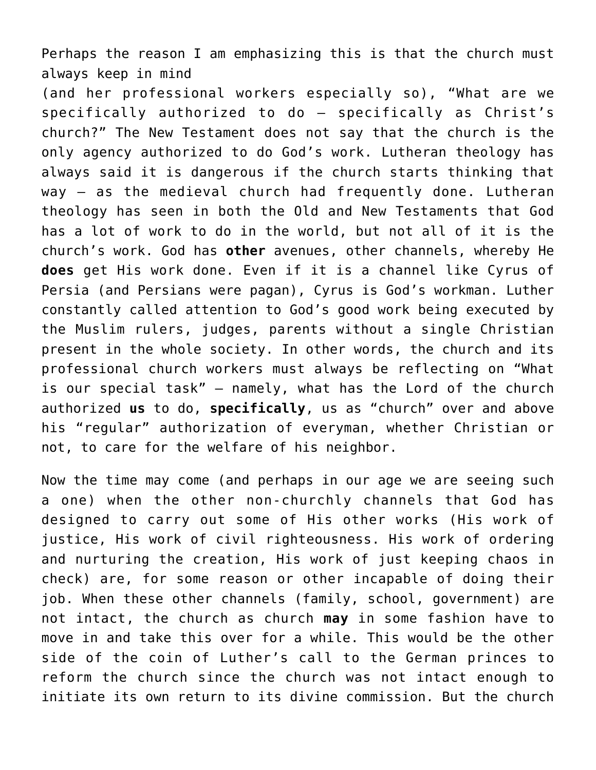Perhaps the reason I am emphasizing this is that the church must always keep in mind

(and her professional workers especially so), "What are we specifically authorized to do — specifically as Christ's church?" The New Testament does not say that the church is the only agency authorized to do God's work. Lutheran theology has always said it is dangerous if the church starts thinking that way — as the medieval church had frequently done. Lutheran theology has seen in both the Old and New Testaments that God has a lot of work to do in the world, but not all of it is the church's work. God has **other** avenues, other channels, whereby He **does** get His work done. Even if it is a channel like Cyrus of Persia (and Persians were pagan), Cyrus is God's workman. Luther constantly called attention to God's good work being executed by the Muslim rulers, judges, parents without a single Christian present in the whole society. In other words, the church and its professional church workers must always be reflecting on "What is our special task" — namely, what has the Lord of the church authorized **us** to do, **specifically**, us as "church" over and above his "regular" authorization of everyman, whether Christian or not, to care for the welfare of his neighbor.

Now the time may come (and perhaps in our age we are seeing such a one) when the other non-churchly channels that God has designed to carry out some of His other works (His work of justice, His work of civil righteousness. His work of ordering and nurturing the creation, His work of just keeping chaos in check) are, for some reason or other incapable of doing their job. When these other channels (family, school, government) are not intact, the church as church **may** in some fashion have to move in and take this over for a while. This would be the other side of the coin of Luther's call to the German princes to reform the church since the church was not intact enough to initiate its own return to its divine commission. But the church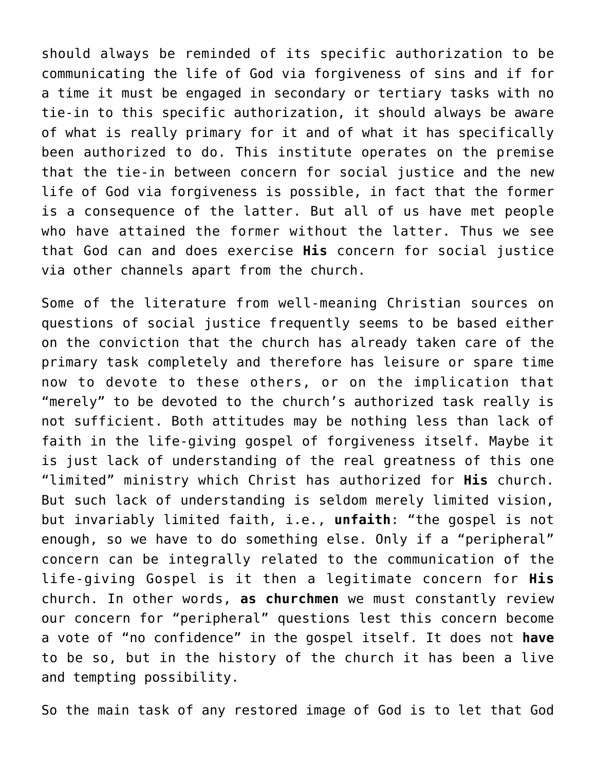should always be reminded of its specific authorization to be communicating the life of God via forgiveness of sins and if for a time it must be engaged in secondary or tertiary tasks with no tie-in to this specific authorization, it should always be aware of what is really primary for it and of what it has specifically been authorized to do. This institute operates on the premise that the tie-in between concern for social justice and the new life of God via forgiveness is possible, in fact that the former is a consequence of the latter. But all of us have met people who have attained the former without the latter. Thus we see that God can and does exercise **His** concern for social justice via other channels apart from the church.

Some of the literature from well-meaning Christian sources on questions of social justice frequently seems to be based either on the conviction that the church has already taken care of the primary task completely and therefore has leisure or spare time now to devote to these others, or on the implication that "merely" to be devoted to the church's authorized task really is not sufficient. Both attitudes may be nothing less than lack of faith in the life-giving gospel of forgiveness itself. Maybe it is just lack of understanding of the real greatness of this one "limited" ministry which Christ has authorized for **His** church. But such lack of understanding is seldom merely limited vision, but invariably limited faith, i.e., **unfaith**: "the gospel is not enough, so we have to do something else. Only if a "peripheral" concern can be integrally related to the communication of the life-giving Gospel is it then a legitimate concern for **His** church. In other words, **as churchmen** we must constantly review our concern for "peripheral" questions lest this concern become a vote of "no confidence" in the gospel itself. It does not **have** to be so, but in the history of the church it has been a live and tempting possibility.

So the main task of any restored image of God is to let that God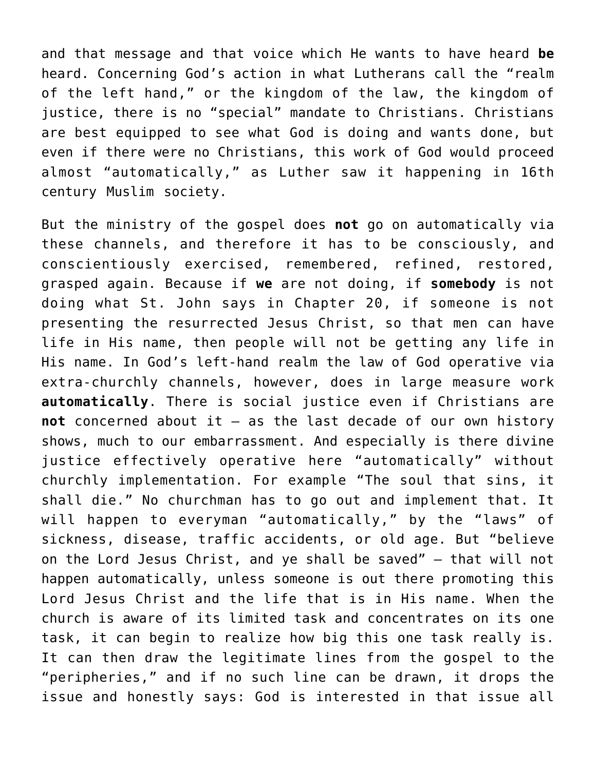and that message and that voice which He wants to have heard **be** heard. Concerning God's action in what Lutherans call the "realm of the left hand," or the kingdom of the law, the kingdom of justice, there is no "special" mandate to Christians. Christians are best equipped to see what God is doing and wants done, but even if there were no Christians, this work of God would proceed almost "automatically," as Luther saw it happening in 16th century Muslim society.

But the ministry of the gospel does **not** go on automatically via these channels, and therefore it has to be consciously, and conscientiously exercised, remembered, refined, restored, grasped again. Because if **we** are not doing, if **somebody** is not doing what St. John says in Chapter 20, if someone is not presenting the resurrected Jesus Christ, so that men can have life in His name, then people will not be getting any life in His name. In God's left-hand realm the law of God operative via extra-churchly channels, however, does in large measure work **automatically**. There is social justice even if Christians are **not** concerned about it – as the last decade of our own history shows, much to our embarrassment. And especially is there divine justice effectively operative here "automatically" without churchly implementation. For example "The soul that sins, it shall die." No churchman has to go out and implement that. It will happen to everyman "automatically," by the "laws" of sickness, disease, traffic accidents, or old age. But "believe on the Lord Jesus Christ, and ye shall be saved" – that will not happen automatically, unless someone is out there promoting this Lord Jesus Christ and the life that is in His name. When the church is aware of its limited task and concentrates on its one task, it can begin to realize how big this one task really is. It can then draw the legitimate lines from the gospel to the "peripheries," and if no such line can be drawn, it drops the issue and honestly says: God is interested in that issue all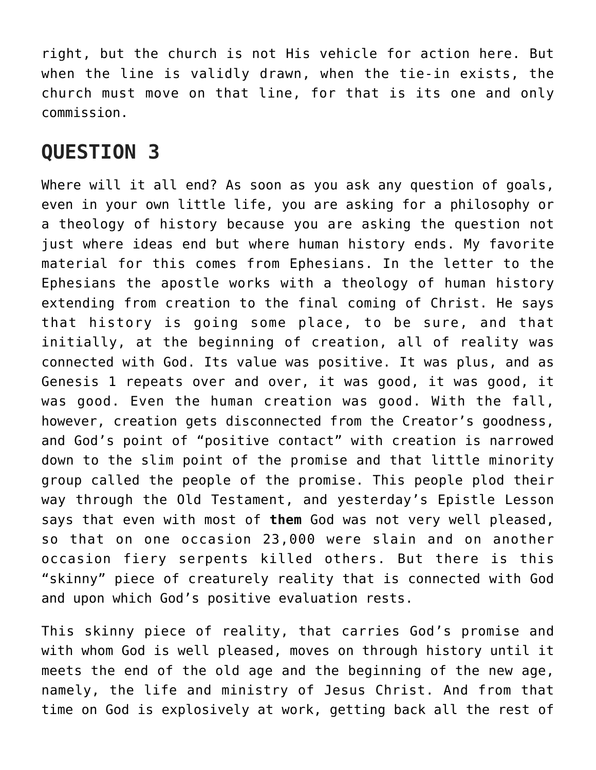right, but the church is not His vehicle for action here. But when the line is validly drawn, when the tie-in exists, the church must move on that line, for that is its one and only commission.

#### **QUESTION 3**

Where will it all end? As soon as you ask any question of goals, even in your own little life, you are asking for a philosophy or a theology of history because you are asking the question not just where ideas end but where human history ends. My favorite material for this comes from Ephesians. In the letter to the Ephesians the apostle works with a theology of human history extending from creation to the final coming of Christ. He says that history is going some place, to be sure, and that initially, at the beginning of creation, all of reality was connected with God. Its value was positive. It was plus, and as Genesis 1 repeats over and over, it was good, it was good, it was good. Even the human creation was good. With the fall, however, creation gets disconnected from the Creator's goodness, and God's point of "positive contact" with creation is narrowed down to the slim point of the promise and that little minority group called the people of the promise. This people plod their way through the Old Testament, and yesterday's Epistle Lesson says that even with most of **them** God was not very well pleased, so that on one occasion 23,000 were slain and on another occasion fiery serpents killed others. But there is this "skinny" piece of creaturely reality that is connected with God and upon which God's positive evaluation rests.

This skinny piece of reality, that carries God's promise and with whom God is well pleased, moves on through history until it meets the end of the old age and the beginning of the new age, namely, the life and ministry of Jesus Christ. And from that time on God is explosively at work, getting back all the rest of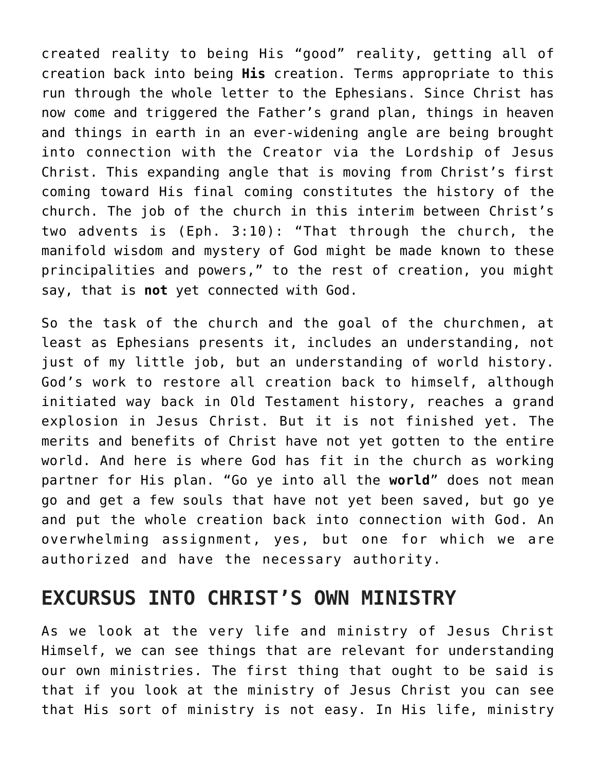created reality to being His "good" reality, getting all of creation back into being **His** creation. Terms appropriate to this run through the whole letter to the Ephesians. Since Christ has now come and triggered the Father's grand plan, things in heaven and things in earth in an ever-widening angle are being brought into connection with the Creator via the Lordship of Jesus Christ. This expanding angle that is moving from Christ's first coming toward His final coming constitutes the history of the church. The job of the church in this interim between Christ's two advents is (Eph. 3:10): "That through the church, the manifold wisdom and mystery of God might be made known to these principalities and powers," to the rest of creation, you might say, that is **not** yet connected with God.

So the task of the church and the goal of the churchmen, at least as Ephesians presents it, includes an understanding, not just of my little job, but an understanding of world history. God's work to restore all creation back to himself, although initiated way back in Old Testament history, reaches a grand explosion in Jesus Christ. But it is not finished yet. The merits and benefits of Christ have not yet gotten to the entire world. And here is where God has fit in the church as working partner for His plan. "Go ye into all the **world**" does not mean go and get a few souls that have not yet been saved, but go ye and put the whole creation back into connection with God. An overwhelming assignment, yes, but one for which we are authorized and have the necessary authority.

#### **EXCURSUS INTO CHRIST'S OWN MINISTRY**

As we look at the very life and ministry of Jesus Christ Himself, we can see things that are relevant for understanding our own ministries. The first thing that ought to be said is that if you look at the ministry of Jesus Christ you can see that His sort of ministry is not easy. In His life, ministry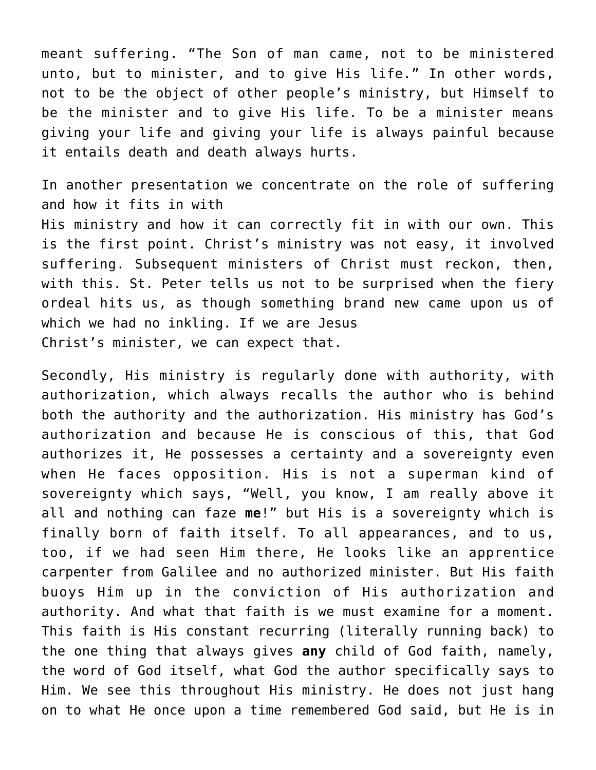meant suffering. "The Son of man came, not to be ministered unto, but to minister, and to give His life." In other words, not to be the object of other people's ministry, but Himself to be the minister and to give His life. To be a minister means giving your life and giving your life is always painful because it entails death and death always hurts.

In another presentation we concentrate on the role of suffering and how it fits in with

His ministry and how it can correctly fit in with our own. This is the first point. Christ's ministry was not easy, it involved suffering. Subsequent ministers of Christ must reckon, then, with this. St. Peter tells us not to be surprised when the fiery ordeal hits us, as though something brand new came upon us of which we had no inkling. If we are Jesus Christ's minister, we can expect that.

Secondly, His ministry is regularly done with authority, with authorization, which always recalls the author who is behind both the authority and the authorization. His ministry has God's authorization and because He is conscious of this, that God authorizes it, He possesses a certainty and a sovereignty even when He faces opposition. His is not a superman kind of sovereignty which says, "Well, you know, I am really above it all and nothing can faze **me**!" but His is a sovereignty which is finally born of faith itself. To all appearances, and to us, too, if we had seen Him there, He looks like an apprentice carpenter from Galilee and no authorized minister. But His faith buoys Him up in the conviction of His authorization and authority. And what that faith is we must examine for a moment. This faith is His constant recurring (literally running back) to the one thing that always gives **any** child of God faith, namely, the word of God itself, what God the author specifically says to Him. We see this throughout His ministry. He does not just hang on to what He once upon a time remembered God said, but He is in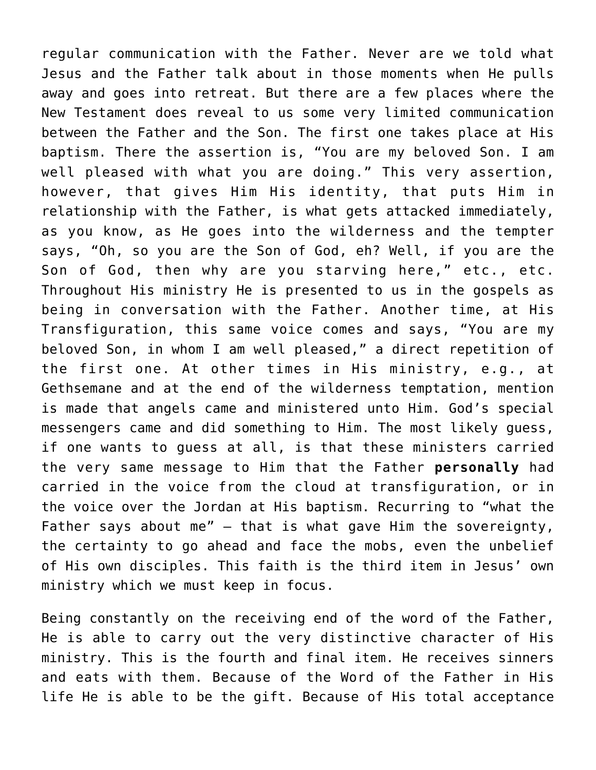regular communication with the Father. Never are we told what Jesus and the Father talk about in those moments when He pulls away and goes into retreat. But there are a few places where the New Testament does reveal to us some very limited communication between the Father and the Son. The first one takes place at His baptism. There the assertion is, "You are my beloved Son. I am well pleased with what you are doing." This very assertion, however, that gives Him His identity, that puts Him in relationship with the Father, is what gets attacked immediately, as you know, as He goes into the wilderness and the tempter says, "Oh, so you are the Son of God, eh? Well, if you are the Son of God, then why are you starving here," etc., etc. Throughout His ministry He is presented to us in the gospels as being in conversation with the Father. Another time, at His Transfiguration, this same voice comes and says, "You are my beloved Son, in whom I am well pleased," a direct repetition of the first one. At other times in His ministry, e.g., at Gethsemane and at the end of the wilderness temptation, mention is made that angels came and ministered unto Him. God's special messengers came and did something to Him. The most likely guess, if one wants to guess at all, is that these ministers carried the very same message to Him that the Father **personally** had carried in the voice from the cloud at transfiguration, or in the voice over the Jordan at His baptism. Recurring to "what the Father says about me" — that is what gave Him the sovereignty, the certainty to go ahead and face the mobs, even the unbelief of His own disciples. This faith is the third item in Jesus' own ministry which we must keep in focus.

Being constantly on the receiving end of the word of the Father, He is able to carry out the very distinctive character of His ministry. This is the fourth and final item. He receives sinners and eats with them. Because of the Word of the Father in His life He is able to be the gift. Because of His total acceptance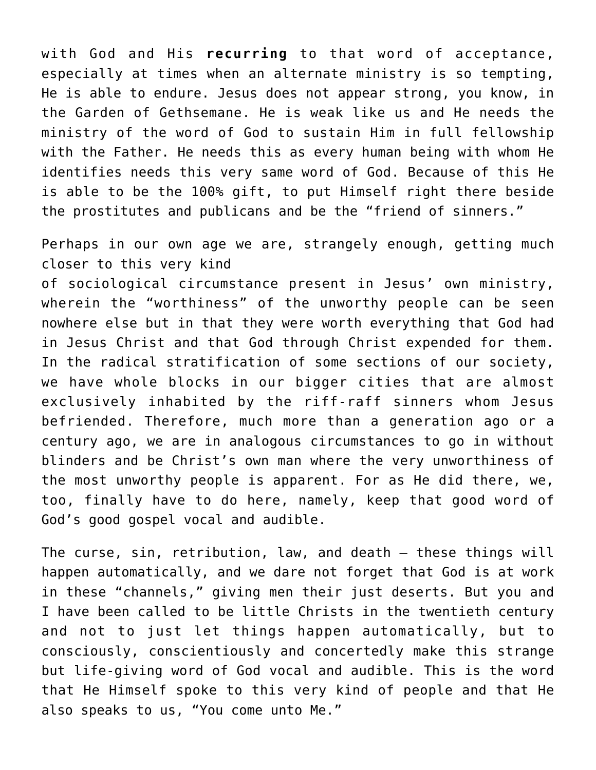with God and His **recurring** to that word of acceptance, especially at times when an alternate ministry is so tempting, He is able to endure. Jesus does not appear strong, you know, in the Garden of Gethsemane. He is weak like us and He needs the ministry of the word of God to sustain Him in full fellowship with the Father. He needs this as every human being with whom He identifies needs this very same word of God. Because of this He is able to be the 100% gift, to put Himself right there beside the prostitutes and publicans and be the "friend of sinners."

Perhaps in our own age we are, strangely enough, getting much closer to this very kind

of sociological circumstance present in Jesus' own ministry, wherein the "worthiness" of the unworthy people can be seen nowhere else but in that they were worth everything that God had in Jesus Christ and that God through Christ expended for them. In the radical stratification of some sections of our society, we have whole blocks in our bigger cities that are almost exclusively inhabited by the riff-raff sinners whom Jesus befriended. Therefore, much more than a generation ago or a century ago, we are in analogous circumstances to go in without blinders and be Christ's own man where the very unworthiness of the most unworthy people is apparent. For as He did there, we, too, finally have to do here, namely, keep that good word of God's good gospel vocal and audible.

The curse, sin, retribution, law, and death – these things will happen automatically, and we dare not forget that God is at work in these "channels," giving men their just deserts. But you and I have been called to be little Christs in the twentieth century and not to just let things happen automatically, but to consciously, conscientiously and concertedly make this strange but life-giving word of God vocal and audible. This is the word that He Himself spoke to this very kind of people and that He also speaks to us, "You come unto Me."